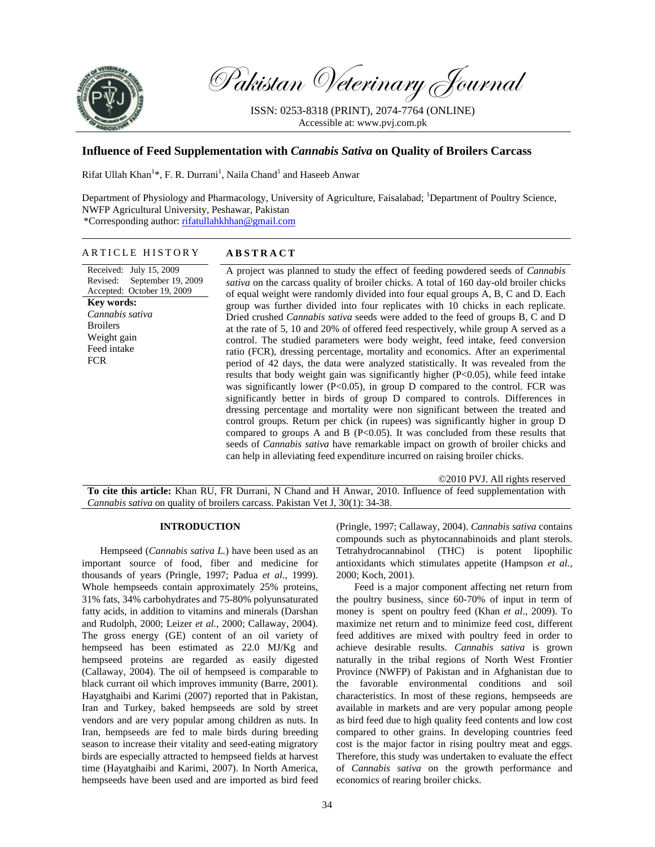

Pakistan Veterinary Journal

ISSN: 0253-8318 (PRINT), 2074-7764 (ONLINE) Accessible at: www.pvj.com.pk

# **Influence of Feed Supplementation with** *Cannabis Sativa* **on Quality of Broilers Carcass**

Rifat Ullah Khan<sup>1</sup>\*, F. R. Durrani<sup>1</sup>, Naila Chand<sup>1</sup> and Haseeb Anwar

Department of Physiology and Pharmacology, University of Agriculture, Faisalabad; <sup>1</sup>Department of Poultry Science, NWFP Agricultural University, Peshawar, Pakistan \*Corresponding author: rifatullahkhhan@gmail.com

#### ARTICLE HISTORY **ABSTRACT**

Received: July 15, 2009 Revised: September 19, 2009 Accepted: October 19, 2009 **Key words:**  *Cannabis sativa* **Broilers** Weight gain Feed intake FCR

A project was planned to study the effect of feeding powdered seeds of *Cannabis sativa* on the carcass quality of broiler chicks. A total of 160 day-old broiler chicks of equal weight were randomly divided into four equal groups A, B, C and D. Each group was further divided into four replicates with 10 chicks in each replicate. Dried crushed *Cannabis sativa* seeds were added to the feed of groups B, C and D at the rate of 5, 10 and 20% of offered feed respectively, while group A served as a control. The studied parameters were body weight, feed intake, feed conversion ratio (FCR), dressing percentage, mortality and economics. After an experimental period of 42 days, the data were analyzed statistically. It was revealed from the results that body weight gain was significantly higher (P<0.05), while feed intake was significantly lower ( $P<0.05$ ), in group D compared to the control. FCR was significantly better in birds of group D compared to controls. Differences in dressing percentage and mortality were non significant between the treated and control groups. Return per chick (in rupees) was significantly higher in group D compared to groups A and B (P<0.05). It was concluded from these results that seeds of *Cannabis sativa* have remarkable impact on growth of broiler chicks and can help in alleviating feed expenditure incurred on raising broiler chicks.

©2010 PVJ. All rights reserved

**To cite this article:** Khan RU, FR Durrani, N Chand and H Anwar, 2010. Influence of feed supplementation with *Cannabis sativa* on quality of broilers carcass. Pakistan Vet J, 30(1): 34-38.

### **INTRODUCTION**

Hempseed (*Cannabis sativa L.*) have been used as an important source of food, fiber and medicine for thousands of years (Pringle, 1997; Padua *et al*., 1999). Whole hempseeds contain approximately 25% proteins, 31% fats, 34% carbohydrates and 75-80% polyunsaturated fatty acids, in addition to vitamins and minerals (Darshan and Rudolph, 2000; Leizer *et al.,* 2000; Callaway, 2004). The gross energy (GE) content of an oil variety of hempseed has been estimated as 22.0 MJ/Kg and hempseed proteins are regarded as easily digested (Callaway, 2004). The oil of hempseed is comparable to black currant oil which improves immunity (Barre, 2001). Hayatghaibi and Karimi (2007) reported that in Pakistan, Iran and Turkey, baked hempseeds are sold by street vendors and are very popular among children as nuts. In Iran, hempseeds are fed to male birds during breeding season to increase their vitality and seed-eating migratory birds are especially attracted to hempseed fields at harvest time (Hayatghaibi and Karimi, 2007). In North America, hempseeds have been used and are imported as bird feed

(Pringle, 1997; Callaway, 2004). *Cannabis sativa* contains compounds such as phytocannabinoids and plant sterols. Tetrahydrocannabinol (THC) is potent lipophilic antioxidants which stimulates appetite (Hampson *et al.,* 2000; Koch, 2001).

Feed is a major component affecting net return from the poultry business, since 60-70% of input in term of money is spent on poultry feed (Khan *et al*., 2009). To maximize net return and to minimize feed cost, different feed additives are mixed with poultry feed in order to achieve desirable results. *Cannabis sativa* is grown naturally in the tribal regions of North West Frontier Province (NWFP) of Pakistan and in Afghanistan due to the favorable environmental conditions and soil characteristics. In most of these regions, hempseeds are available in markets and are very popular among people as bird feed due to high quality feed contents and low cost compared to other grains. In developing countries feed cost is the major factor in rising poultry meat and eggs. Therefore, this study was undertaken to evaluate the effect of *Cannabis sativa* on the growth performance and economics of rearing broiler chicks.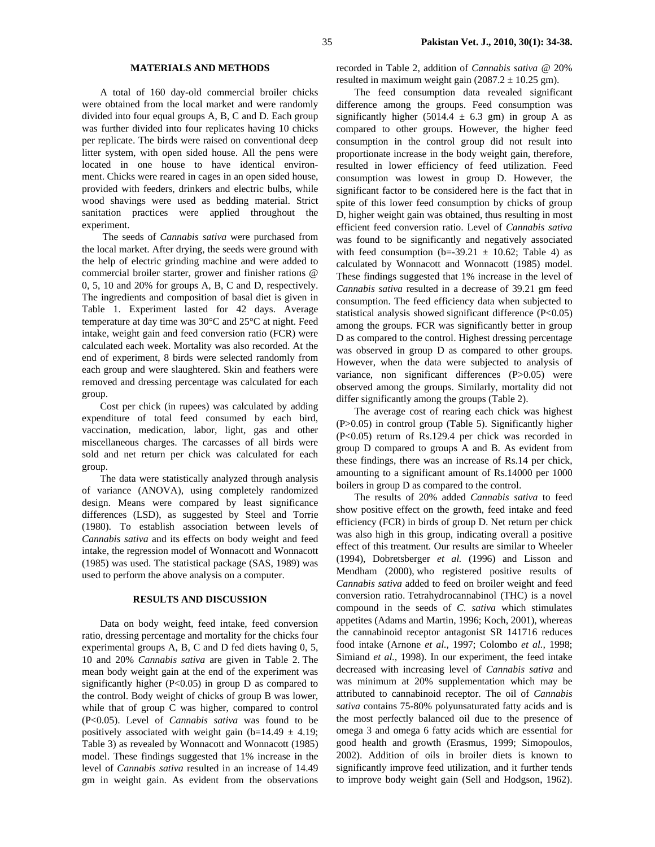### **MATERIALS AND METHODS**

A total of 160 day-old commercial broiler chicks were obtained from the local market and were randomly divided into four equal groups A, B, C and D. Each group was further divided into four replicates having 10 chicks per replicate. The birds were raised on conventional deep litter system, with open sided house. All the pens were located in one house to have identical environment. Chicks were reared in cages in an open sided house, provided with feeders, drinkers and electric bulbs, while wood shavings were used as bedding material. Strict sanitation practices were applied throughout the experiment.

 The seeds of *Cannabis sativa* were purchased from the local market. After drying, the seeds were ground with the help of electric grinding machine and were added to commercial broiler starter, grower and finisher rations @ 0, 5, 10 and 20% for groups A, B, C and D, respectively. The ingredients and composition of basal diet is given in Table 1. Experiment lasted for 42 days. Average temperature at day time was 30°C and 25°C at night. Feed intake, weight gain and feed conversion ratio (FCR) were calculated each week. Mortality was also recorded. At the end of experiment, 8 birds were selected randomly from each group and were slaughtered. Skin and feathers were removed and dressing percentage was calculated for each group.

Cost per chick (in rupees) was calculated by adding expenditure of total feed consumed by each bird, vaccination, medication, labor, light, gas and other miscellaneous charges. The carcasses of all birds were sold and net return per chick was calculated for each group.

The data were statistically analyzed through analysis of variance (ANOVA), using completely randomized design. Means were compared by least significance differences (LSD), as suggested by Steel and Torrie (1980). To establish association between levels of *Cannabis sativa* and its effects on body weight and feed intake, the regression model of Wonnacott and Wonnacott (1985) was used. The statistical package (SAS, 1989) was used to perform the above analysis on a computer.

### **RESULTS AND DISCUSSION**

Data on body weight, feed intake, feed conversion ratio, dressing percentage and mortality for the chicks four experimental groups A, B, C and D fed diets having 0, 5, 10 and 20% *Cannabis sativa* are given in Table 2. The mean body weight gain at the end of the experiment was significantly higher (P<0.05) in group D as compared to the control. Body weight of chicks of group B was lower, while that of group C was higher, compared to control (P<0.05). Level of *Cannabis sativa* was found to be positively associated with weight gain (b=14.49  $\pm$  4.19; Table 3) as revealed by Wonnacott and Wonnacott (1985) model. These findings suggested that 1% increase in the level of *Cannabis sativa* resulted in an increase of 14.49 gm in weight gain. As evident from the observations

recorded in Table 2, addition of *Cannabis sativa* @ 20% resulted in maximum weight gain  $(2087.2 \pm 10.25$  gm).

The feed consumption data revealed significant difference among the groups. Feed consumption was significantly higher (5014.4  $\pm$  6.3 gm) in group A as compared to other groups. However, the higher feed consumption in the control group did not result into proportionate increase in the body weight gain, therefore, resulted in lower efficiency of feed utilization. Feed consumption was lowest in group D. However, the significant factor to be considered here is the fact that in spite of this lower feed consumption by chicks of group D, higher weight gain was obtained, thus resulting in most efficient feed conversion ratio. Level of *Cannabis sativa* was found to be significantly and negatively associated with feed consumption (b=-39.21  $\pm$  10.62; Table 4) as calculated by Wonnacott and Wonnacott (1985) model. These findings suggested that 1% increase in the level of *Cannabis sativa* resulted in a decrease of 39.21 gm feed consumption. The feed efficiency data when subjected to statistical analysis showed significant difference (P<0.05) among the groups. FCR was significantly better in group D as compared to the control. Highest dressing percentage was observed in group D as compared to other groups. However, when the data were subjected to analysis of variance, non significant differences (P>0.05) were observed among the groups. Similarly, mortality did not differ significantly among the groups (Table 2).

The average cost of rearing each chick was highest (P>0.05) in control group (Table 5). Significantly higher (P<0.05) return of Rs.129.4 per chick was recorded in group D compared to groups A and B. As evident from these findings, there was an increase of Rs.14 per chick, amounting to a significant amount of Rs.14000 per 1000 boilers in group D as compared to the control.

The results of 20% added *Cannabis sativa* to feed show positive effect on the growth, feed intake and feed efficiency (FCR) in birds of group D. Net return per chick was also high in this group, indicating overall a positive effect of this treatment*.* Our results are similar to Wheeler (1994), Dobretsberger *et al.* (1996) and Lisson and Mendham (2000), who registered positive results of *Cannabis sativa* added to feed on broiler weight and feed conversion ratio. Tetrahydrocannabinol (THC) is a novel compound in the seeds of *C. sativa* which stimulates appetites (Adams and Martin, 1996; Koch, 2001), whereas the cannabinoid receptor antagonist SR 141716 reduces food intake (Arnone *et al.,* 1997; Colombo *et al.,* 1998; Simiand *et al.,* 1998). In our experiment, the feed intake decreased with increasing level of *Cannabis sativa* and was minimum at 20% supplementation which may be attributed to cannabinoid receptor. The oil of *Cannabis sativa* contains 75-80% polyunsaturated fatty acids and is the most perfectly balanced oil due to the presence of omega 3 and omega 6 fatty acids which are essential for good health and growth (Erasmus, 1999; Simopoulos, 2002). Addition of oils in broiler diets is known to significantly improve feed utilization, and it further tends to improve body weight gain (Sell and Hodgson, 1962).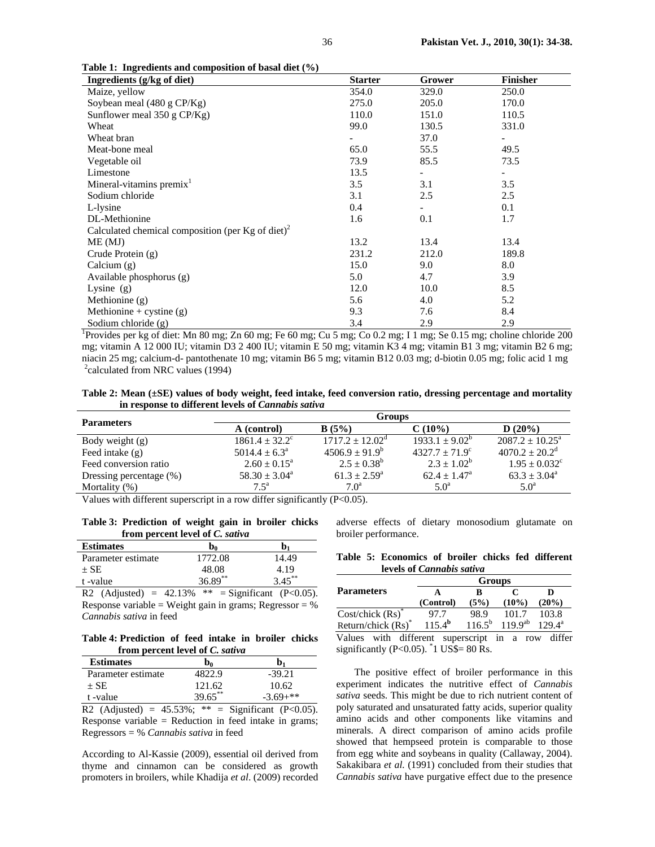| Ingredients (g/kg of diet)                                    | <b>Starter</b> | Grower                   | <b>Finisher</b>          |
|---------------------------------------------------------------|----------------|--------------------------|--------------------------|
| Maize, yellow                                                 | 354.0          | 329.0                    | 250.0                    |
| Soybean meal $(480 \text{ g CP/Kg})$                          | 275.0          | 205.0                    | 170.0                    |
| Sunflower meal $350$ g CP/Kg)                                 | 110.0          | 151.0                    | 110.5                    |
| Wheat                                                         | 99.0           | 130.5                    | 331.0                    |
| Wheat bran                                                    |                | 37.0                     |                          |
| Meat-bone meal                                                | 65.0           | 55.5                     | 49.5                     |
| Vegetable oil                                                 | 73.9           | 85.5                     | 73.5                     |
| Limestone                                                     | 13.5           | $\overline{\phantom{a}}$ | $\overline{\phantom{a}}$ |
| Mineral-vitamins premix <sup>1</sup>                          | 3.5            | 3.1                      | 3.5                      |
| Sodium chloride                                               | 3.1            | 2.5                      | 2.5                      |
| L-lysine                                                      | 0.4            | $\overline{\phantom{0}}$ | 0.1                      |
| DL-Methionine                                                 | 1.6            | 0.1                      | 1.7                      |
| Calculated chemical composition (per Kg of diet) <sup>2</sup> |                |                          |                          |
| ME(MJ)                                                        | 13.2           | 13.4                     | 13.4                     |
| Crude Protein (g)                                             | 231.2          | 212.0                    | 189.8                    |
| Calcium $(g)$                                                 | 15.0           | 9.0                      | 8.0                      |
| Available phosphorus (g)                                      | 5.0            | 4.7                      | 3.9                      |
| Lysine $(g)$                                                  | 12.0           | 10.0                     | 8.5                      |
| Methionine (g)                                                | 5.6            | 4.0                      | 5.2                      |
| Methionine + cystine $(g)$                                    | 9.3            | 7.6                      | 8.4                      |
| Sodium chloride $(g)$                                         | 3.4            | 2.9                      | 2.9                      |

<sup>1</sup>Provides per kg of diet: Mn 80 mg; Zn 60 mg; Fe 60 mg; Cu 5 mg; Co 0.2 mg; I 1 mg; Se 0.15 mg; choline chloride 200 mg; vitamin A 12 000 IU; vitamin D3 2 400 IU; vitamin E 50 mg; vitamin K3 4 mg; vitamin B1 3 mg; vitamin B2 6 mg; niacin 25 mg; calcium-d- pantothenate 10 mg; vitamin B6 5 mg; vitamin B12 0.03 mg; d-biotin 0.05 mg; folic acid 1 mg <sup>2</sup>calculated from NRC values (1994)

**Table 2: Mean (±SE) values of body weight, feed intake, feed conversion ratio, dressing percentage and mortality in response to different levels of** *Cannabis sativa*

| <b>Parameters</b>       | <b>Groups</b>                   |                                                            |                           |                                |  |  |
|-------------------------|---------------------------------|------------------------------------------------------------|---------------------------|--------------------------------|--|--|
|                         | A (control)                     | B(5%)                                                      | $C(10\%)$                 | D(20%)                         |  |  |
| Body weight $(g)$       | $1861.4 \pm 32.2^{\circ}$       | $1717.2 \pm 12.02^{\circ}$                                 | $1933.1 \pm 9.02^{\circ}$ | $2087.2 \pm 10.25^{\circ}$     |  |  |
| Feed intake $(g)$       | $5014.4 \pm 6.3^{\circ}$        | $4506.9 + 91.9^b$                                          | $4327.7 + 71.9^{\circ}$   | $4070.2 \pm 20.2$ <sup>d</sup> |  |  |
| Feed conversion ratio   | $2.60 \pm 0.15^{\circ}$         | $2.5 \pm 0.38^b$                                           | $2.3 + 1.02^b$            | $1.95 \pm 0.032$ <sup>c</sup>  |  |  |
| Dressing percentage (%) | $58.30 \pm 3.04^{\circ}$        | $61.3 + 2.59^{\circ}$                                      | $62.4 \pm 1.47^{\circ}$   | $63.3 \pm 3.04^{\circ}$        |  |  |
| Mortality $(\%)$        | $7.5^{\mathrm{a}}$              | 7.0 <sup>a</sup>                                           | $5.0^{\rm a}$             | $5.0^{\rm a}$                  |  |  |
| <b>TT 1</b><br>$$ $$    | $\cdots$<br>$\cdots$<br>$\cdot$ | $\sqrt{2}$ $\wedge$ $\wedge$ $\wedge$<br>$\sim$ 100 $\sim$ |                           |                                |  |  |

Values with different superscript in a row differ significantly (P<0.05).

**Table 3: Prediction of weight gain in broiler chicks from percent level of** *C. sativa*

**Table 1: Ingredients and composition of basal diet (%)** 

| <b>Estimates</b>   | D <sub>0</sub> | Ŋ,        |
|--------------------|----------------|-----------|
| Parameter estimate | 1772.08        | 14.49     |
| $+$ SE             | 48.08          | 4.19      |
| t-value            | $36.89***$     | $3.45***$ |
|                    |                |           |

R2 (Adjusted) =  $42.13\%$  \*\* = Significant (P<0.05). Response variable = Weight gain in grams; Regressor =  $%$ *Cannabis sativa* in feed

## **Table 4: Prediction of feed intake in broiler chicks from percent level of** *C. sativa*

| <b>Estimates</b>   | b <sub>o</sub> | b,          |
|--------------------|----------------|-------------|
| Parameter estimate | 1822.9         | $-39.21$    |
| $+$ SE             | 121.62         | 10.62       |
| t-value            | 39.65**        | $-3.69+***$ |

R2 (Adjusted) =  $45.53\%$ ; \*\* = Significant (P<0.05). Response variable = Reduction in feed intake in grams; Regressors = % *Cannabis sativa* in feed

According to Al-Kassie (2009), essential oil derived from thyme and cinnamon can be considered as growth promoters in broilers, while Khadija *et al*. (2009) recorded

adverse effects of dietary monosodium glutamate on broiler performance.

|                                  |  | Table 5: Economics of broiler chicks fed different |  |  |  |  |
|----------------------------------|--|----------------------------------------------------|--|--|--|--|
| levels of <i>Cannabis sativa</i> |  |                                                    |  |  |  |  |

|                                | <b>Groups</b>   |                 |                                          |                 |  |  |
|--------------------------------|-----------------|-----------------|------------------------------------------|-----------------|--|--|
| <b>Parameters</b>              |                 |                 |                                          |                 |  |  |
|                                | (Control)       | (5%)            | $(10\%)$                                 | $(20\%)$        |  |  |
| Cost/chick $(Rs)$ <sup>*</sup> | 97.7            | 98.9            | 101.7                                    | 103.8           |  |  |
| Return/chick $(Rs)^*$          | $115.4^{\rm b}$ | $116.5^{\rm b}$ | $119.9^{ab}$                             | $129.4^{\rm a}$ |  |  |
| Values with different          |                 | cuparcoript     | in.<br>$r \cap \overline{v}$<br>$\Omega$ | differ          |  |  |

Values with different superscript in a row differ significantly (P<0.05).  $\degree$ 1 US\$= 80 Rs.

The positive effect of broiler performance in this experiment indicates the nutritive effect of *Cannabis sativa* seeds. This might be due to rich nutrient content of poly saturated and unsaturated fatty acids, superior quality amino acids and other components like vitamins and minerals. A direct comparison of amino acids profile showed that hempseed protein is comparable to those from egg white and soybeans in quality (Callaway, 2004). Sakakibara *et al.* (1991) concluded from their studies that *Cannabis sativa* have purgative effect due to the presence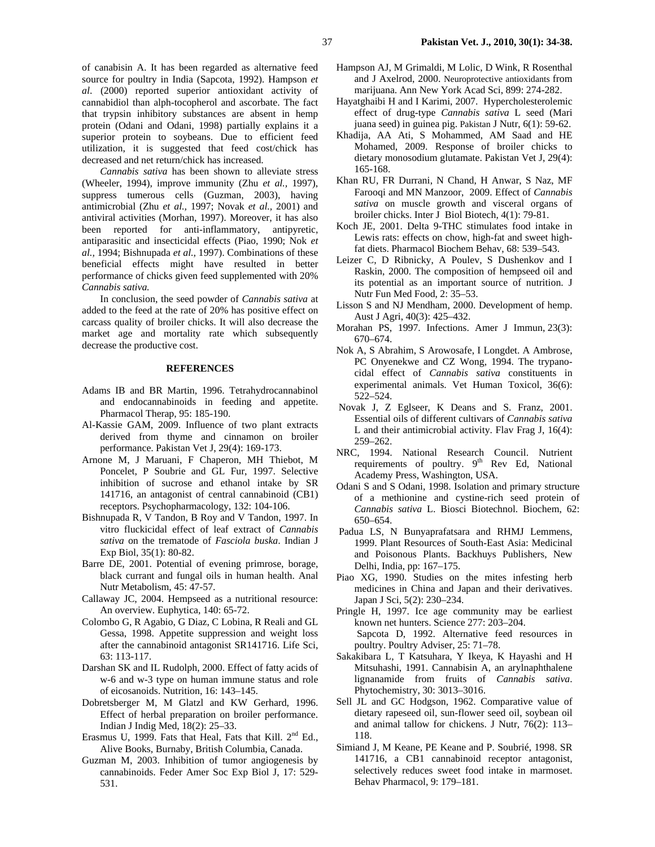of canabisin A. It has been regarded as alternative feed source for poultry in India (Sapcota, 1992). Hampson *et al*. (2000) reported superior antioxidant activity of cannabidiol than alph-tocopherol and ascorbate. The fact that trypsin inhibitory substances are absent in hemp protein (Odani and Odani, 1998) partially explains it a superior protein to soybeans. Due to efficient feed utilization, it is suggested that feed cost/chick has decreased and net return/chick has increased.

*Cannabis sativa* has been shown to alleviate stress (Wheeler, 1994), improve immunity (Zhu *et al.,* 1997), suppress tumerous cells (Guzman, 2003), having antimicrobial (Zhu *et al.,* 1997; Novak *et al.,* 2001) and antiviral activities (Morhan, 1997). Moreover, it has also been reported for anti-inflammatory, antipyretic, antiparasitic and insecticidal effects (Piao, 1990; Nok *et al.,* 1994; Bishnupada *et al.,* 1997). Combinations of these beneficial effects might have resulted in better performance of chicks given feed supplemented with 20% *Cannabis sativa.* 

In conclusion, the seed powder of *Cannabis sativa* at added to the feed at the rate of 20% has positive effect on carcass quality of broiler chicks. It will also decrease the market age and mortality rate which subsequently decrease the productive cost.

#### **REFERENCES**

- Adams IB and BR Martin, 1996. Tetrahydrocannabinol and endocannabinoids in feeding and appetite. Pharmacol Therap, 95: 185-190.
- Al-Kassie GAM, 2009. Influence of two plant extracts derived from thyme and cinnamon on broiler performance. Pakistan Vet J, 29(4): 169-173.
- Arnone M, J Maruani, F Chaperon, MH Thiebot, M Poncelet, P Soubrie and GL Fur, 1997. Selective inhibition of sucrose and ethanol intake by SR 141716, an antagonist of central cannabinoid (CB1) receptors. Psychopharmacology, 132: 104-106.
- Bishnupada R, V Tandon, B Roy and V Tandon, 1997. In vitro fluckicidal effect of leaf extract of *Cannabis sativa* on the trematode of *Fasciola buska*. Indian J Exp Biol, 35(1): 80-82.
- Barre DE, 2001. Potential of evening primrose, borage, black currant and fungal oils in human health. Anal Nutr Metabolism, 45: 47-57.
- Callaway JC, 2004. Hempseed as a nutritional resource: An overview. Euphytica, 140: 65-72.
- Colombo G, R Agabio, G Diaz, C Lobina, R Reali and GL Gessa, 1998. Appetite suppression and weight loss after the cannabinoid antagonist SR141716. Life Sci, 63: 113-117.
- Darshan SK and IL Rudolph, 2000. Effect of fatty acids of w-6 and w-3 type on human immune status and role of eicosanoids. Nutrition, 16: 143–145.
- Dobretsberger M, M Glatzl and KW Gerhard, 1996. Effect of herbal preparation on broiler performance. Indian J Indig Med, 18(2): 25–33.
- Erasmus U, 1999. Fats that Heal, Fats that Kill.  $2<sup>nd</sup>$  Ed., Alive Books, Burnaby, British Columbia, Canada.
- Guzman M, 2003. Inhibition of tumor angiogenesis by cannabinoids. Feder Amer Soc Exp Biol J, 17: 529- 531.
- Hampson AJ, M Grimaldi, M Lolic, D Wink, R Rosenthal and J Axelrod, 2000. Neuroprotective antioxidants from marijuana. Ann New York Acad Sci, 899: 274-282.
- Hayatghaibi H and I Karimi, 2007. Hypercholesterolemic effect of drug-type *Cannabis sativa* L seed (Mari juana seed) in guinea pig. Pakistan J Nutr, 6(1): 59-62.
- Khadija, AA Ati, S Mohammed, AM Saad and HE Mohamed, 2009. Response of broiler chicks to dietary monosodium glutamate. Pakistan Vet J, 29(4): 165-168.
- Khan RU, FR Durrani, N Chand, H Anwar, S Naz, MF Farooqi and MN Manzoor, 2009. Effect of *Cannabis sativa* on muscle growth and visceral organs of broiler chicks. Inter J Biol Biotech, 4(1): 79-81.
- Koch JE, 2001. Delta 9-THC stimulates food intake in Lewis rats: effects on chow, high-fat and sweet highfat diets. Pharmacol Biochem Behav, 68: 539–543.
- Leizer C, D Ribnicky, A Poulev, S Dushenkov and I Raskin, 2000. The composition of hempseed oil and its potential as an important source of nutrition. J Nutr Fun Med Food, 2: 35–53.
- Lisson S and NJ Mendham, 2000. Development of hemp. Aust J Agri, 40(3): 425–432.
- Morahan PS, 1997. Infections. Amer J Immun, 23(3): 670–674.
- Nok A, S Abrahim, S Arowosafe, I Longdet. A Ambrose, PC Onyenekwe and CZ Wong, 1994. The trypanocidal effect of *Cannabis sativa* constituents in experimental animals. Vet Human Toxicol, 36(6): 522–524.
- Novak J, Z Eglseer, K Deans and S. Franz, 2001. Essential oils of different cultivars of *Cannabis sativa* L and their antimicrobial activity. Flav Frag J, 16(4): 259–262.
- NRC, 1994. National Research Council. Nutrient requirements of poultry. 9<sup>th</sup> Rev Ed, National Academy Press, Washington, USA.
- Odani S and S Odani, 1998. Isolation and primary structure of a methionine and cystine-rich seed protein of *Cannabis sativa* L. Biosci Biotechnol. Biochem, 62: 650–654.
- Padua LS, N Bunyaprafatsara and RHMJ Lemmens, 1999. Plant Resources of South-East Asia: Medicinal and Poisonous Plants. Backhuys Publishers, New Delhi, India, pp: 167–175.
- Piao XG, 1990. Studies on the mites infesting herb medicines in China and Japan and their derivatives. Japan J Sci, 5(2): 230–234.
- Pringle H, 1997. Ice age community may be earliest known net hunters. Science 277: 203–204. Sapcota D, 1992. Alternative feed resources in poultry. Poultry Adviser, 25: 71–78.
- Sakakibara L, T Katsuhara, Y Ikeya, K Hayashi and H Mitsuhashi, 1991. Cannabisin A, an arylnaphthalene lignanamide from fruits of *Cannabis sativa*. Phytochemistry, 30: 3013–3016.
- Sell JL and GC Hodgson, 1962. Comparative value of dietary rapeseed oil, sun-flower seed oil, soybean oil and animal tallow for chickens. J Nutr*,* 76(2): 113– 118.
- Simiand J, M Keane, PE Keane and P. Soubrié, 1998. SR 141716, a CB1 cannabinoid receptor antagonist, selectively reduces sweet food intake in marmoset. Behav Pharmacol, 9: 179–181.